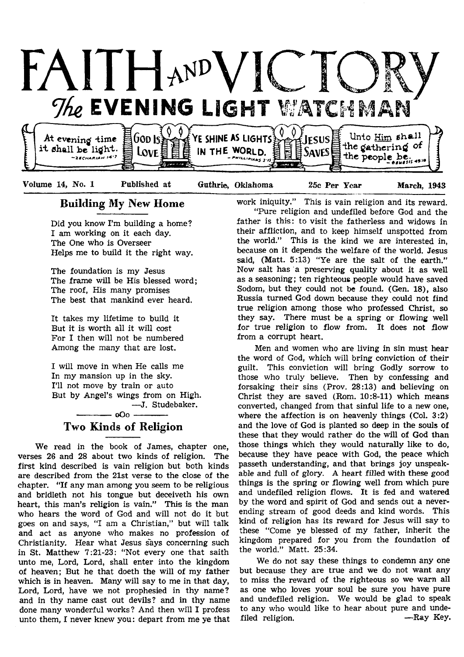

## Building My New Home

Did you know I'm building a home? I am working on it each day. The One who is Overseer Helps me to build it the right way.

The foundation is my Jesus The frame will be His blessed word; The roof, His many promises The best that mankind ever heard.

It takes my lifetime to build it But it is worth all it will cost For I then will not be numbered Among the many that are lost.

I will move in when He calls me In my mansion up in the sky. I'll not move by train or auto But by Angel's wings from on High. — J. Studebaker.

- 000 -Two Kinds of Religion

We read in the book of James, chapter one, verses 26 and 28 about two kinds of religion. The first kind described is vain religion but both kinds are described from the 21st verse to the close of the chapter. "If any man among you seem to be religious and bridleth not his tongue but deceiveth his own heart, this man's religion is vain." This is the man who hears the word of God and will not do it but goes on and says, "I am a Christian," but will talk and act as anyone who makes no profession of Christianity. Hear what Jesus says concerning such in St. Matthew 7:21-23: "Not every one that saith unto me, Lord, Lord, shall enter into the kingdom of heaven; But he that doeth the will of my father which is in heaven. Many will say to me in that day, Lord, Lord, have we not prophesied in thy name? and in thy name cast out devils? and in thy name done many wonderful works? And then will I profess unto them, I never knew you: depart from me ye that

work iniquity." This is vain religion and its reward. "Pure religion and undefiled before God and the father is this: to visit the fatherless and widows in their affliction, and to keep himself unspotted from the world." This is the kind we are interested in, because on it depends the welfare of the world. Jesus said, (Matt. 5:13) "Ye are the salt of the earth." Now salt has a preserving quality about it as well as a seasoning; ten righteous people would have saved Sodom, but they could not be found. (Gen. 18), also Russia turned God down because they could not find true religion among those who professed Christ, so they say. There must be a spring or flowing well for true religion to flow from. It does not flow from a corrupt heart.

Men and women who are living in sin must hear the word of God, which will bring conviction of their guilt. This conviction will bring Godly sorrow to those who truly believe. Then by confessing and forsaking their sins (Prov. 28:13) and believing on Christ they are saved (Rom. 10:8-11) which means converted, changed from that sinful life to a new one, where the affection is on heavenly things (Col. 3:2) and the love of God is planted so deep in the souls of these that they would rather do the will of God than those things which they would naturally like to do, because they have peace with God, the peace which passeth understanding, and that brings joy unspeakable and full of glory. A heart filled with these good things is the spring or flowing well from which pure and undefiled religion flows. It is fed and watered by the word and spirit of God and sends out a neverending stream of good deeds and kind words. This kind of religion has its reward for Jesus will say to these "Come ye blessed of my father, inherit the kingdom prepared for you from the foundation of the world." Matt. 25:34.

We do not say these things to condemn any one but because they are true and we do not want any to miss the reward of the righteous so we warn all as one who loves your soul be sure you have pure and undefiled religion. We would be glad to speak to any who would like to hear about pure and undefiled religion.  $-$ Ray Key.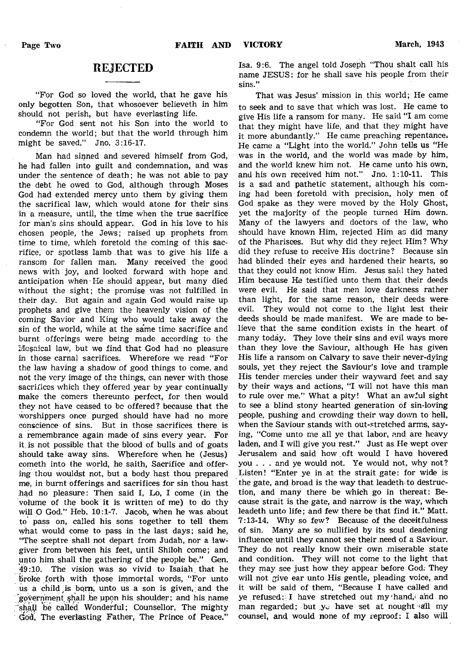## REJECTED

"For God so loved the world, that he gave his only begotten Son, that whosoever believeth in him should not perish, but have everlasting life.

"For God sent not his Son into the world to condemn the world; but that the world through him might be saved." Jno. 3:16-17.

Man had sinned and severed himself from God, he had fallen into guilt and condemnation, and was under the sentence of death; he was not able to pay the debt he owed to God, although through Moses God had extended mercy unto them by giving them the sacrifical law, which would atone for their sins in a measure, until, the time when the true sacrifice for man's sins should appear. God in his love to his chosen people, the Jews; raised up prophets from time to time, which foretold the coming of this sacrifice, or spotless lamb that was to give his life a ransom for fallen man. Many received the good news with joy, and looked forward with hope and anticipation when He should appear, but many died without the sight; the promise was not fulfilled in their day. But again and again God would raise up prophets and give them the heavenly vision of the coming Savior and King who would take away the sin of the world, while at the same time sacrifice and burnt offerings were being made according to the Mc\$aical law, but we find that God had no pleasure in those carnal sacrifices. Wherefore we read "For the law having a shadow of good things to come, and not the very image of the things, can never with those sacrifices which they offered year by year continually make the comers thereunto perfect, for then would they not have ceased to be offered? because that the worshippers once purged should have had no more conscience of sins. But in those sacrifices there is a remembrance again made of sins every year. For it. is not possible that the blood of bulls and of goats should take away sins. Wherefore when he (Jesus) cometh into the world, he saith, Sacrifice and offering thou wouldst not, but a body hast thou prepared me, in burnt offerings and sacrifices for sin thou hast had no pleasure: Then said I, Lo, I come (in the volume of the book it is written of me) to do thy will O God." Heb. 10:1-7. Jacob, when he was about to pass on, called his sons together to tell them what would come to pass in the last days; said he, "The sceptre shall not depart from Judah, nor a lawgiver from between his feet, until Shiloh come; and unto him shall the gathering of the people be." Gen.  $49:10$ . The vision was so vivid to Isaiah that he broke forth with those immortal words, "For unto us a child is born, unto us a son is given, and the 'government ^h.all be upon his. shoulder; and his.name shall be called Wonderful; Counsellor, The mighty God, The everlasting Father, The Prince of Peace."

Isa. 9:6. The angel told Joseph "Thou shalt call his name JESUS: for he shall save his people from their sins."

That was Jesus' mission in this world; He came to seek and to save that which was lost. He came to give His life a ransom for many. He said "I am come that they might have life, and that they might have it more abundantly." He came preaching repentance. He came a "Light into the world." John tells us "He was in the world, and the world was made by him, and the world knew him not. He came unto his own, and his own received him not." Jno. 1:10-11. This is a sad and pathetic statement, although his coming had been foretold with precision, holy men of God spake as they were moved by the Holy Ghost, yet the majority of the people turned Him down. Many of the lawyers and doctors of the law, who should have known Him, rejected Him as did many of the Pharisees. But why did they reject Him ? Why did they refuse to receive His doctrine? Because sin had blinded their eyes and hardened their hearts, so that they could not know Him. Jesus said they hated Him because He testified unto them that their deeds were evil. He said that men love darkness rather than light, for the same reason, their deeds were evil. They would not come to the light lest their deeds should be made manifest. We are made to believe that the same condition exists in the heart of many today. They love their sins and evil ways more than they love the Saviour, although He has given His life a ransom on Calvary to save their never-dying souls, yet they reject the Saviour's love and trample His tender mercies under their wayward feet and say by their ways and actions, "I will not have this man to rule over me." What a pity! What an awful sight to see a blind stony hearted generation of sin-loving people, pushing and crowding their way down to hell, when the Saviour stands with out-stretched arms, saying, "Come unto me all ye that labor, and are heavy laden, and I will give you rest." Just as He wept over Jerusalem and said how oft would I have hovered you . . . and ye would not. Ye would not, why not? Listen! "Enter ye in at the strait gate: for wide is the gate, and broad is the way that leadeth to destruction, and many there be which go in thereat: Because strait is the gate, and narrow is the way, which leadeth unto life; and few there be that find it." Matt. 7:13-14. Why so few? Because of the deceitfulness of sin. Many are so nullified by its soul deadening influence until they cannot see their.need of a Saviour. They do not really know their own miserable state and condition. They will not come to the light that they may see just how they appear before God. They will not give ear unto His gentle, pleading voice, and it will be said of them, "Because I have called and ye refused: I have stretched out my hand, and no man regarded; but *y*<sub>v</sub> have set at nought all my counsel, and would none of my reproof: I also will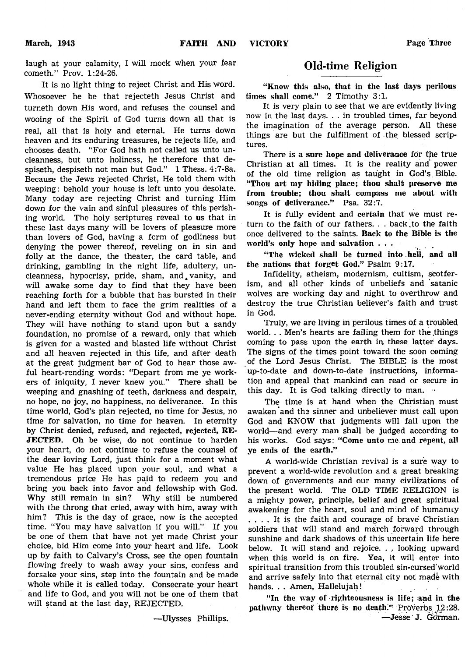laugh at your calamity, I will mock when your fear cometh." Prov. 1:24-26.

It is no light thing to reject Christ and His word. Whosoever he be that rejecteth Jesus Christ and turneth down His word, and refuses the counsel and wooing of the Spirit of God turns down all that is real, all that is holy and eternal. He turns down heaven and its enduring treasures, he rejects life, and chooses death. "For God hath not called us unto uncleanness, but unto holiness, he therefore that despiseth, despiseth not man but God." 1 Thess. 4:7-8a. Because the Jews rejected Christ, He told them with weeping: behold your house is left unto you desolate. Many today are rejecting Christ and turning Him down for the vain and sinful pleasures of this perishing world. The holy scriptures reveal to us that in these last days many will be lovers of pleasure more than lovers of God, having a form of godliness but denying the power thereof, reveling on in sin and folly at the dance, the theater, the card table, and drinking, gambling in the night life, adultery, uncleanness, hypocrisy, pride, sham, and vanity, and will awake some day to find that they have been reaching forth for a bubble that has bursted in their hand and left them to face the grim realities of a never-ending eternity without God and without hope. They will have nothing to stand upon but a sandy foundation, no promise of a reward, only that which is given for a wasted and blasted life without Christ and all heaven rejected in this life, and after death at the great judgment bar of God to hear those awful heart-rending words: "Depart from me ye workers of iniquity, I never knew you." There shall be weeping and gnashing of teeth, darkness and despair, no hope, no joy, no happiness, no deliverance. In this time world, God's plan rejected, no time for Jesus, no time for salvation, no time for heaven. In eternity by Christ denied, refused, and rejected, rejected, RE-JECTED. Oh be wise, do not continue to harden your heart, do not continue to refuse the counsel of the dear loving Lord, just think for a moment what value He has placed upon your soul, and what a tremendous price He has paid to redeem you and bring you back into favor and fellowship with God. Why still remain in sin? Why still be numbered with the throng that cried, away with him, away with him? This is the day of grace, now is the accepted time. "You may have salvation if you will." If you be one of them that have not yet made Christ your choice, bid Him come into your heart and life. Look up by faith to Calvary's Cross, see the open fountain flowing freely to wash away your sins, confess and forsake your sins, step into the fountain and be made whole while it is called today. Consecrate your heart and life to God, and you will not be one of them that will stand at the last day, REJECTED.

—Ulysses Phillips.

## Old-time Religion

"Know this also, that in the last days perilous times shall come." 2 Timothy 3:1.

It is very plain to see that we are evidently living now in the last days. . . in troubled times, far beyond the imagination of the average person. All these things are but the fulfillment of the blessed scriptures.

There is a sure hope and deliverance for the true Christian at all times. It is the reality and\* power of the old time religion as taught in God's Bible. "Thou art my hiding place; thou shalt preserve me from trouble; thou shalt compass me about with songs of deliverance." Psa. 32:7.

It is fully evident and certain that we must return to the faith of our fathers. . . back to the faith once delivered to the saints. Back to the Bible is the world's only hope and salvation . . .

"The wicked shall be turned into hell, and all the nations that forget God." Psalm 9:17.

Infidelity, atheism, modernism, cultism, scotferism, and all other kinds of unbeliefs and satanic wolves are working day and night to overthrow and destroy the true Christian believer's faith and trust in God.

Truly, we are living in perilous times of a troubled world. . . Men's hearts are failing them for the things coming to pass upon the earth in these latter days. The signs of the times point toward the soon coming of the Lord Jesus Christ. The BIBLE is the most up-to-date and down-to-date instructions, information and appeal that mankind can read or secure in this day. It is God talking directly to man.  $\cdot$ 

The time is at hand when the Christian must awaken and the sinner and unbeliever must call upon God and KNOW that judgments will fall upon the world— and every man shall be judged according to his works. God says: "Come unto me. and repent, all ye ends of the earth."

A world-wide Christian revival is a sure way to prevent a world-wide revolution and a great breaking down of governments and our many civilizations of the present world. The OLD TIME RELIGION is a mighty power, principle, belief and great spiritual awakening for the heart, soul and mind of humanity .... It is the faith and courage of brave Christian soldiers that will stand and march forward through sunshine and dark shadows of this uncertain life here below. It will stand and rejoice. . . looking upward when this world is on fire. Yea, it will enter into spiritual transition from this troubled sin-cursed'world and arrive safely into that eternal city not made with hands. . . Amen, Hallelujah!

" In the way of righteousness is life; and in the pathway thereof there is no death." Proverbs 12:28. —Jesse J. Go'fman.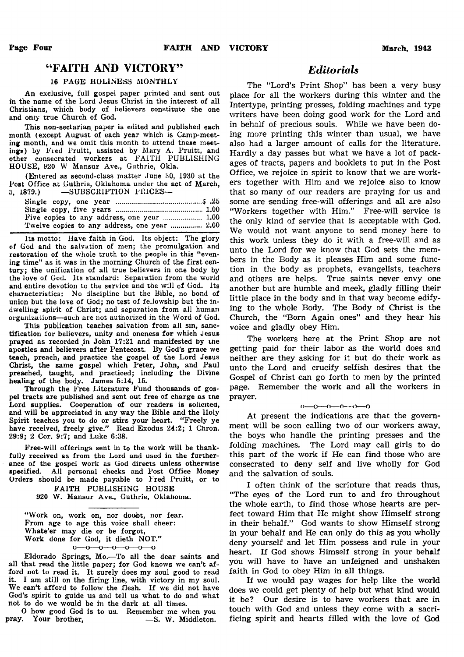## " FAITH AND VICTORY"

## 16 PAGE HOLINESS MONTHLY

An exclusive, full gospel paper printed and sent out in the name of the Lord Jesus Christ in the interest of all Christians, which body of believers constitute the one and only true Church of God.

This non-sectarian paper is edited and published each month (except August of each year which is Camp-meeting month, and we omit this month to attend these meetings) by Fred Pruitt, assisted by Mary A. Pruitt, and other consecrated workers at FAITH PUBLISHING HOUSE, 920 W Mansur Ave., Guthrie, Okla.

(Entered as second-class matter June 30, 1930 at the Post Office at Guthrie, Oklahoma under the act of March, *U,* 1879.) —SUBSCRIPTION PRICES—

| Five copies to any address, one year  1.00   |
|----------------------------------------------|
| Twelve copies to any address, one year  2.00 |

Its motto: Have faith in God. Its object: The glory of God and the salvation of men; the promulgation and restoration of the whole truth to the people in this "evening time" as it was in the morning Church of the first century; the unification of all true believers in one body by the love of God. Its standard: Separation from the world and entire devotion to the service and the will of God. Its characteristics: No discipline but the Bible, no bond of union but the love of God; no test of fellowship but the indwelling spirit of Christ; and separation from all human organizations—such are not authorized in the Word of God.

This publication teaches salvation from all sin, sanctification for believers, unity and oneness for which Jesus prayed as recorded in John  $17:21$  and manifested by the apostles and believers after Pentecost. By God's grace we teach, preach, and practice the gospel of the Lord Jesus Christ, the same gospel which Peter, John, and Paul preached, taught, and practiced; including the Divine healing of the body. James 5:14, 15.

Through the Free Literature Fund thousands of gospel tracts are published and sent out free of charge as tne Lord supplies. Cooperation of our readers is solicited, and will be appreciated in any way the Bible and the Holy Spirit teaches you to do or stirs your heart. "Freely ye have received, freely give." Read Exodus 24:2; 1 Chron. 29:9; 2 Cor. 9:7; and Luke 6:38.

Free-will offerings sent in to the work will be thankfully received as from the Lord and used in the furtherance of the gospel work as God directs unless otherwise specified. All personal checks and Post Office Money Orders should be made payable to Fred Pruitt, or to

> FAITH PUBLISHING HOUSE 920 W. Mansur Ave., Guthrie, Oklahoma.

" Work on, work on, nor doubt, nor fear. From age to age this voice shall cheer: Whate'er may die or be forgot, Work done for God, it dieth NOT."  $0 - 0 - 0 - 0 - 0 - 0$ 

Eldorado Springs, Mo.—To all the dear saints and all that read the little paper; for God knows we can't afford not to read it. It surely does my soul good to read it. I am still on the firing line, with victory in my soul. We can't afford to follow the flesh. If we did not have God's spirit to guide us and tell us what to do and what not to do we would be in the dark at all times.

O how good God is to us. Remember me when you<br>7. Your brother, -S. W. Middleton. pray. Your brother,

## *Editorials*

The "Lord's Print Shop" has been a very busy place for all the workers during this winter and the Intertype, printing presses, folding machines and type writers have been doing good work for the Lord and in behalf of precious souls. While we have been doing more printing this winter than usual, we have also had a larger amount of calls for the literature. Hardly a day passes but what we have a lot of packages of tracts, papers and booklets to put in the Post Office, we rejoice in spirit to know that we are workers together with Him and we rejoice also to know that so many of our readers are praying for us and some are sending free-will offerings and all are also "Workers together with Him." Free-will service is the only kind of service that is acceptable with God. We would not want anyone to send money here to this work unless they do it with a free-will and as unto the Lord for we know that God sets the members in the Body as it pleases Him and some function in the body as prophets, evangelists, teachers and others are helps. True saints never envy one another but are humble and meek, gladly filling their little place in the body and in that way become edifying to the whole Body. The Body of Christ is the Church, the "Born Again ones" and they hear his voice and gladly obey Him.

The workers here at the Print Shop are not getting paid for their labor as the world does and neither are they asking for it but do their work as unto the Lord and crucify selfish desires that the Gospel of Christ can go forth to men by the printed page. Remember the work and all the workers in prayer.

#### $0 \rightarrow 0 \rightarrow 0 \rightarrow 0 \rightarrow 0$

At present the indications are that the government will be soon calling two of our workers away, the boys who handle the printing presses and the folding machines. The Lord may call girls to do this part of the work if He can find those who are consecrated to deny self and live wholly for God and the salvation of souls.

I often think of the scripture that reads thus, "The eyes of the Lord run to and fro throughout the whole earth, to find those whose hearts are perfect toward Him that He might show Himself strong in their behalf." God wants to show Himself strong in your behalf and He can only do this as you wholly deny yourself and let Him possess and rule in your heart. If God shows Himself strong in your behalf you will have to have an unfeigned and unshaken faith in God to obey Him in all things.

If we would pay wages for help like the world does we could get plenty of help but what kind would it be? Our desire is to have workers that are in touch with God and unless they come with a sacrificing spirit and hearts filled with the love of God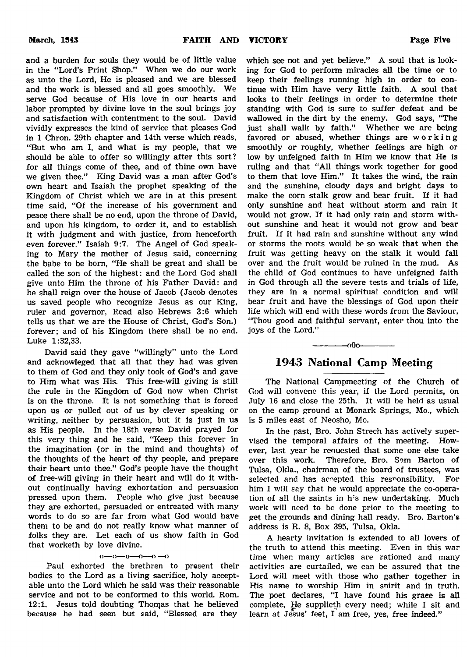and a burden for souls they would be of little value in the "Lord's Print Shop." When we do our work as unto the Lord, He is pleased and we are blessed and the work is blessed and all goes smoothly. We serve God because of His love in our hearts and labor prompted by divine love in the soul brings joy and satisfaction with contentment to the soul. David vividly expresses the kind of service that pleases God in 1 Chron. 29th chapter and 14th verse which reads, " But who am I, and what is my people, that we should be able to offer so willingly after this sort? for all things come of thee, and of thine own have we given thee." King David was a man after God's own heart and Isaiah the prophet speaking of the Kingdom of Christ which we are in at this present time said, "Of the increase of his government and peace there shall be no end, upon the throne of David, and upon his kingdom, to order it, and to establish it with judgment and with justice, from henceforth even forever." Isaiah 9:7. The Angel of God speaking to Mary the mother of Jesus said, concerning the babe to be born, "He shall be great and shall be called the son of the highest: and the Lord God shall give unto Him the throne of his Father David: and he shall reign over the house of Jacob (Jacob denotes us saved people who recognize Jesus as our King, ruler and governor, Read also Hebrews 3:6 which tells us that we are the House of Christ, God's Son.) forever; and of his Kingdom there shall be no end. Luke 1:32,33.

David said they gave "willingly" unto the Lord and acknowleged that all that they had was given to them of God and they only took of God's and gave to Him what was His. This free-will giving is still the rule in the Kingdom of God now when Christ is on the throne. It is not something that is forced upon us or pulled out of us by clever speaking or writing, neither by persuasion, but it is just in us as His people. In the 18th verse David prayed for this very thing and he said, "Keep this forever in the imagination (or in the mind and thoughts) of the thoughts of the heart of thy people, and prepare their heart unto thee." God's people have the thought of free-will giving in their heart and will do it without continually having exhortation and persuasion pressed upon them. People who give just because they are exhorted, persuaded or entreated with many words to do so are far from what God would have them to be and do not really know what manner of folks they are. Let each of us show faith in God that worketh by love divine.

#### $0 \rightarrow 0 \rightarrow 0 \rightarrow 0 \rightarrow 0$

Paul exhorted the brethren to present their bodies to the Lord as a living sacrifice, holy acceptable unto the Lord which he said was their reasonable service and not to be conformed to this world. Rom. 12:1. Jesus told doubting Thomas that he believed because he had seen but said, "Blessed are they

which see not and yet believe." A soul that is looking for God to perform miracles all the time or to keep their feelings running high in order to continue with Him have very little faith. A soul that looks to their feelings in order to determine their standing with God is sure to suffer defeat and be wallowed in the dirt by the enemy. God says, "The just shall walk by faith." Whether we are being favored or abused, whether things are working smoothly or roughly, whether feelings are high or low by unfeigned faith in Him we know that He is ruling and that "All things work together for good to them that love Him." It takes the wind, the rain and the sunshine, cloudy days and bright days to make the corn stalk grow and bear fruit. If it had only sunshine and heat without storm and rain it would not grow. If it had only rain and storm without sunshine and heat it would not grow and bear fruit. If it had rain and sunshine without any wind or storms the roots would be so weak that when the fruit was getting heavy on the stalk it would fall over and the fruit would be ruined in the mud. As the child of God continues to have unfeigned faith in God through all the severe tests and trials of life, they are in a normal spiritual condition and will bear fruit and have the blessings of God upon their life which will end with these words from the Saviour, "Thou good and faithful servant, enter thou into the joys of the Lord."

## 1943 National Camp Meeting

------------- oOo-------------

The National Campmeeting of the Church of God will convene this year, if the Lord permits, on July 16 and close the 25th. It will be held as usual on the camp ground at Monark Springs, Mo., which is 5 miles east of Neosho, Mo.

In the past, Bro. John Strech has actively supervised the temporal affairs of the meeting. However, last year he renuested that some one else take over this work. Therefore, Bro. Sam Barton of Tulsa, Okla., chairman of the board of trustees, was selected and has accepted this responsibility. For him I will say that he would appreciate the co-operation of all the saints in h's new undertaking. Much work will need to be done prior to the meeting to get the grounds and dining hall ready. Bro. Barton's address is R. 8, Box 395, Tulsa, Okla.

A hearty invitation is extended to all lovers of the truth to attend this meeting. Even in this war time when many articles are rationed and many activities are curtailed, we can be assured that the Lord will meet with those who gather together in His name to worship Him in snirit and in truth. The poet declares, "I have found his graee is all complete, He supplieth every need; while I sit and learn at Jesus' feet, I am free, yes, free indeed."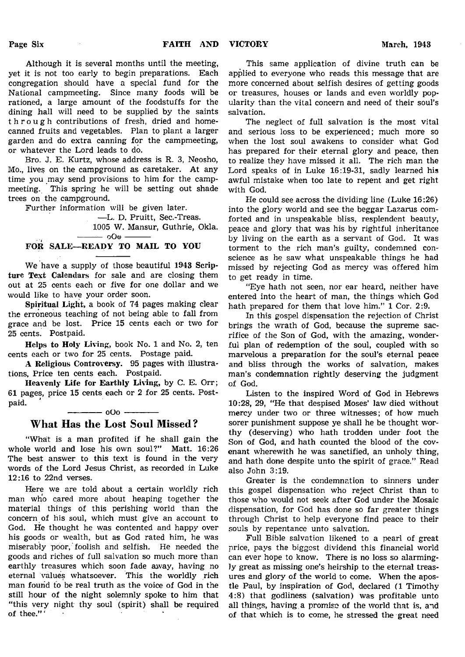Although it is several months until the meeting, yet it is not too early to begin preparations. Each congregation should have a special fund for the National campmeeting. Since many foods will be rationed, a large amount of the foodstuffs for the dining hall will need to be supplied by the saints through contributions of fresh, dried and homecanned fruits and vegetables. Plan to plant a larger garden and do extra canning for the campmeeting, or whatever the Lord leads to do.

Bro. J. E. Kurtz, whose address is R. 3, Neosho, Mo., live§ on the campground as caretaker. At any time you may send provisions to him for the campmeeting. This spring he will be setting out shade trees on the campground.

Further information will be given later.

— L. D. Pruitt, Sec.-Treas. 1005 W. Mansur, Guthrie, Okla. - იOo -

### FOR SALE—READY TO MAIL TO YOU

We have a supply of those beautiful 1943 Scripture Text Calendars for sale and are closing them out at 25 cents each or five for one dollar and we would like to have your order soon.

Spiritual Light, a book of 74 pages making clear the erroneous teaching of not being able to fall from grace and be lost. Price 15 cents each or two for 25 cents. Postpaid.

Helps to Holy Living, book No. 1 and No. 2, ten cents each or two for 25 cents. Postage paid.

A Religious Controversy. 95 pages with illustrations, Price ten cents each. Postpaid.

Heavenly Life for Earthly Living, by C. E. Orr; 61 pages, price 15 cents each or 2 for 25 cents. Postpaid.

-------------o O o --------------

## What Has the Lost Soul Missed?

"What is a man profited if he shall gain the whole world and lose his own soul?" Matt. 16:26 The best answer to this text is found in the very words of the Lord Jesus Christ, as recorded in Luke 12:16 to 22nd verses.

Here we are told about a certain worldly rich man who cared more about heaping together the material things of this perishing world than the concern of his soul, which must give an account to God. He thought he was contented and happy over his goods or wealth, but as God rated him, he was miserably poor, foolish and selfish. He needed the goods and riches of full salvation so much more than earthly treasures which soon fade away, having no eternal 'values whatsoever. This the worldly rich man found to be real truth as the voice of God in the still hour of the night solemnly spoke to him that "this very night thy soul (spirit) shall be required of thee." ' '

This same application of divine truth can be applied to everyone who reads this message that are more concerned about selfish desires of getting goods or treasures, houses or lands and even worldly popularity than the vital concern and need of their soul's salvation.

The neglect of full salvation is the most vital and serious loss to be experienced; much more so when the lost soul awakens to consider what God has prepared for their eternal glory and peace, then to realize they have missed it all. The rich man the Lord speaks of in Luke 16:19-31, sadly learned his awful mistake when too late to repent and get right with God.

He could see across the dividing line (Luke 16:26) into the glory world and see the beggar Lazarus comforted and in unspeakable bliss, resplendent beauty, peace and glory that was his by rightful inheritance by living on the earth as a servant of God. It was torment to the rich man's guilty, condemned conscience as he saw what unspeakable things he had missed by rejecting God as mercy was offered him to get ready in time.

"Eye hath not seen, nor ear heard, neither have entered into the heart of man, the things which God hath prepared for them that love him." 1 Cor. 2:9.

In this gospel dispensation the rejection of Christ brings the wrath of God, because the supreme sacrifice of the Son of God, with the amazing, wonderful plan of redemption of the soul, coupled with so marvelous a preparation for the soul's eternal peace and bliss through the works of salvation, makes man's condemnation rightly deserving the judgment of God.

Listen to the inspired Word of God in Hebrews 10:28, 29, "He that despised Moses' law died without mercy under two or three witnesses; of how much sorer punishment suppose ye shall he be thought worthy (deserving) who hath trodden under foot the Son of God, and hath counted the blood of the covenant wherewith he was sanctified, an unholy thing, and hath done despite unto the spirit of grace." Read also John 3:19.

Greater is the condemnation to sinners under this gospel dispensation who reject Christ than to those who would not seek after God under the Mosaic dispensation, for God has done so far greater things through Christ to help everyone find peace to their souls by repentance unto salvation.

Full Bible salvation likened to a pearl of great price, pays the biggest dividend this financial world can ever hope to know. There is no loss so alarmingly great as missing one's heirship to the eternal treasures and glory of the world to come. When the apostle Paul, by inspiration of God, declared (1 Timothy 4:8) that godliness (salvation) was profitable unto all things, having a promise of the world that is, and of that which is to come, he stressed the great need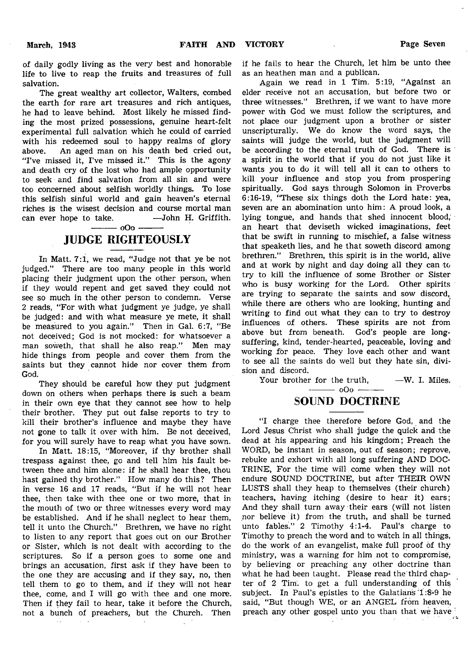of daily godly living as the very best and honorable life to live to reap the fruits and treasures of full salvation.

The great wealthy art collector, Walters, combed the earth for rare art treasures and rich antiques, he had to leave behind. Most likely he missed finding the most prized possessions, genuine heart-felt experimental full salvation which he could of carried with his redeemed soul to happy realms of glory<br>above. An aged man on his death bed cried out. An aged man on his death bed cried out, "I've missed it, I've missed it." This is the agony and death cry of the lost who had ample opportunity to seek and find salvation from all sin and were too concerned about selfish worldly things. To lose this selfish sinful world and gain heaven's eternal riches is the wisest decision and course mortal man can ever hope to take.  $\qquad$ —John H. Griffith. can ever hope to take.

 $000 -$ 

## JUDGE RIGHTEOUSLY

In Matt. 7:1, we read, "Judge not that ye be not judged." There are too many people in this world placing their judgment upon the other person, when if they would repent and get saved they could not see so much in the other person to condemn. Verse 2 reads, "For with what judgment ye judge, ye shall be judged: and with what measure ye mete, it shall be measured to you again." Then in Gal. 6:7, "Be not deceived; God is not mocked: for whatsoever a man soweth, that shall he also reap." Men may hide things from people and cover them from the saints but they cannot hide nor cover them from God.

They should be careful how they put judgment down on others when perhaps there is such a beam in their own eye that they cannot see how to help their brother. They put out false reports to try to kill their brother's influence and maybe they have not gone to talk it over with him. Be not deceived, for you will surely have to reap what you have sown.

In Matt. 18:15, "Moreover, if thy brother shall trespass against thee, go and tell him his fault between thee and him alone: if he shall hear thee, thou hast gained thy brother." How many do this? Then in verse 16 and 17 reads, "But if he will not hear thee, then take with thee one or two more, that in the mouth of two or three witnesses every word may be established. And if he shall neglect to hear them, tell it unto the Church." Brethren, we have no right to listen to any report that goes out on our Brother or Sister, which is not dealt with according to the scriptures. So if a person goes to some one and brings an accusation, first ask if they have been to the one they are accusing and if they say, no, then tell them to go to them, and if they will not hear thee, come, and I will go with thee and one more. Then if they fail to hear, take it before the Church, not a bunch of preachers, but the Church. Then if he fails to hear the Church, let him be unto thee as an heathen man and a publican.

Again we read in 1 Tim. 5:19, "Against an elder receive not an accusation, but before two or three witnesses." Brethren, if we want to have more power with God we must follow the scriptures, and not place our judgment upon a brother or sister unscripturally. We do know the word says, the saints will judge the world, but the judgment will be according to the eternal truth of God. There is a spirit in the world that if you do not just like it wants you to do it will tell all it can to others to kill your influence and stop you from prospering spiritually. God says through Solomon in Proverbs 6:16-19, "These six things doth the Lord hate: yea, seven are an abomination unto him: A proud look, a lying tongue, and hands that shed innocent blood, an heart that deviseth wicked imaginations, feet that be swift in running to mischief, a false witness that speaketh lies, and he that soweth discord among brethren." Brethren, this spirit is in the world, alive and at work by night and day doing all they can to try to kill the influence of some Brother or Sister who is busy working for the Lord. Other spirits are trying to separate the saints and sow discord, while there are others who are looking, hunting and writing to find out what they can to try to destroy influences of others. These spirits are not from above but from beneath. God's people are longsuffering, kind, tender-hearted, peaceable, loving and working for peace. They love each other and want to see all the saints do well but they hate sin, division and discord.

Your brother for the truth, -- W. I. Miles.

 $-$  000  $-$ 

## SOUND DOCTRINE

"I charge thee therefore before God, and the Lord Jesus Christ who shall judge the quick and the dead at his appearing and his kingdom; Preach the WORD, be instant in season, out of season; reprove, rebuke and exhort with all long suffering AND DOC-TRINE, For the time will come when they will not endure SOUND DOCTRINE, but after THEIR OWN LUSTS shall they heap to themselves (their church) teachers, having itching (desire to hear it) ears; And they shall turn away their ears (will not listen nor believe it) from the truth, and shall be turned unto fables." 2 Timothy 4:1-4. Paul's charge to Timothy to preach the word and to watch in all things, do the work of an evangelist, make full proof of thy ministry, was a warning for him not to compromise, by believing or preaching any other doctrine than what he had been taught. Please read the third chapter of 2 Tim. to get a full understanding of this subject. In Paul's epistles to the Galatians 1:8-9 he said, "But though WE, or an ANGEL from heaven, preach any other gospel unto you than that we have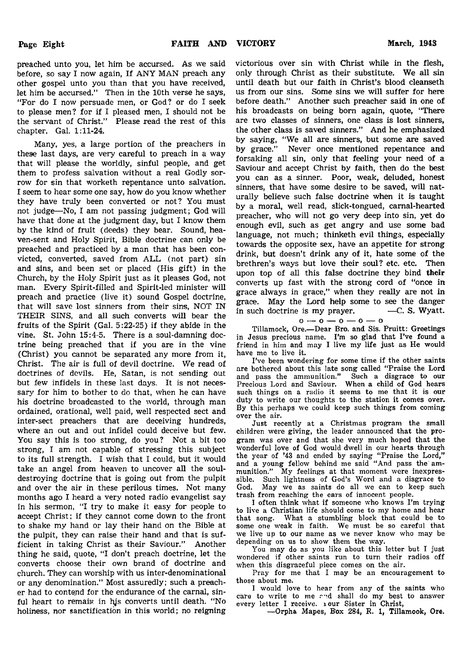preached unto you, let him be accursed. As we said before, so say I now again, If ANY MAN preach any other gospel unto you than that you have received, let him be accursed." Then in the 10th verse he says, "For do I now persuade men, or God? or do I seek to please men? for if I pleased men, I should not be the servant of Christ." Please read the rest of this chapter. Gal. 1:11-24.

Many, yes, a large portion of the preachers in these last days, are very careful to preach in a way that will please the worldly, sinful people, and get them to profess salvation without a real Godly sorrow for sin that worketh repentance unto salvation. I seem to hear some one say, how do you know whether they have truly been converted or not? You must not judge— No, I am not passing judgment; God will have that done at the judgment day, but I know them by the kind of fruit (deeds) they bear. Sound, heaven-sent and Holy Spirit, Bible doctrine can only be preached and practiced by a man that has been convicted, converted, saved from ALL (not part) sin and sins, and been set or placed (His gift) in the Church, by the Holy Spirit just as it pleases God, not man. Every Spirit-filled and Spirit-led minister will preach and practice (live it) sound Gospel doctrine, that will save lost sinners from their sins, NOT IN THEIR SINS, and all such converts will bear the fruits of the Spirit (Gal. 5:22-25) if they abide in the vine. St. John 15:4-5. There is a soul-damning doctrine being preached that if you are in the vine (Christ) you cannot be separated any more from it, Christ. The air is full of devil doctrine. We read of doctrines of devils. He, Satan, is not sending out but few infidels in these last days. It is not necessary for him to bother to do that, when he can have his doctrine broadcasted to the world, through man ordained, orational, well paid, well respected sect and inter-sect preachers that are deceiving hundreds, where an out and out infidel could deceive but few. You say this is too strong, do you? Not a bit too strong, I am not capable of stressing this subject to its full strength. I wish that I could, but it would take an angel from heaven to uncover all the souldestroying doctrine that is going out from the pulpit and over the air in these perilous times. Not many months ago I heard a very noted radio evangelist say in his sermon, "I try to make it easy for people to accept Christ; if they cannot come down to the front to shake my hand or lay their hand on the Bible at the pulpit, they can raise their hand and that is sufficient in taking Christ as their Saviour." Another thing he said, quote, "I don't preach doctrine, let the converts choose their own brand of doctrine and church. They can worship with us inter-denominational or any denomination." Most assuredly; such a preacher had to contend for the endurance of the carnal, sinful heart to remain in his converts until death. "No holiness, nor sanctification in this world; no reigning

victorious over sin with Christ while in the flesh, only through Christ as their substitute. We all sin until death but our faith in Christ's blood cleanseth us from our sins. Some sins we will suffer for here before death." Another such preacher said in one of his broadcasts on being born again, quote, "There are two classes of sinners, one class is lost sinners, the other class is saved sinners." And he emphasized by saying, "We all are sinners, but some are saved by grace." Never once mentioned repentance and forsaking all sin, only that feeling your need of a Saviour and accept Christ by faith, then do the best you can as a sinner. Poor, weak, deluded, honest sinners, that have some desire to be saved, will naturally believe such false doctrine when it is taught by a moral, well read, slick-tongued, carnal-hearted preacher, who will not go very deep into sin, yet do enough evil, such as get angry and use some bad language, not much; thinketh evil things, especially towards the opposite sex, have an appetite for strong drink, but doesn't drink any of it, hate some of the brethren's ways but love their soul? etc. etc. Then upon top of all this false doctrine they bind their converts up fast with the strong cord of "once in grace always in grace," when they really are not in grace. May the Lord help some to see the danger in such doctrine is my prayer.  $\qquad -C$ . S. Wyatt.

$$
\mathbf{0} - \mathbf{0} - \mathbf{0} - \mathbf{0} - \mathbf{0}
$$

Tillamock, Ore.—Dear Bro. and Sis. Pruitt: Greetings in Jesus precious name. I'm so glad that I've found a friend in him and may I live my life just as He would have me to live it.

I've been wondering for some time if the other saints are bothered about this late song called "Praise the Lord and pass the ammunition." Such a disgrace to our Precious Lord and Saviour. When a child of God hears such things on a radio it seems to me that it is our duty to write our thoughts to the station it comes over. By this perhaps we could keep such things from coming over the air.

Just recently at a Christmas program the small children were giving, the leader announced that the program was over and that she very much hoped that the wonderful love of God would dwell in our hearts through the year of '43 and ended by saying "Praise the Lord," and a young fellow behind me said " And pass the ammunition." My feelings at that moment were inexpressible. Such lightness of God's Word and a disgrace to God. May we as saints do all we can to keep such May we as saints do all we can to keep such trash from reaching the ears of innocent people.

I often think what if someone who knows I'm trying to live a Christian life should come to my home and hear that song. What a stumbling block that could be to some one weak in faith. We must be so careful that we live up to our name as we never know who may be depending on us to show them the way.

You may do as you like about this letter but I just wondered if other saints run to turn their radios off when this disgraceful piece comes on the air.

Pray for me that I may be an encouragement to those about me.

I would love to hear from any of the saints who care to write to me and shall do my best to answer every letter I receive. 1 our Sister in Christ,

—Orpha Mapes, B'ox 284, R. 1, Tillamook, Ore.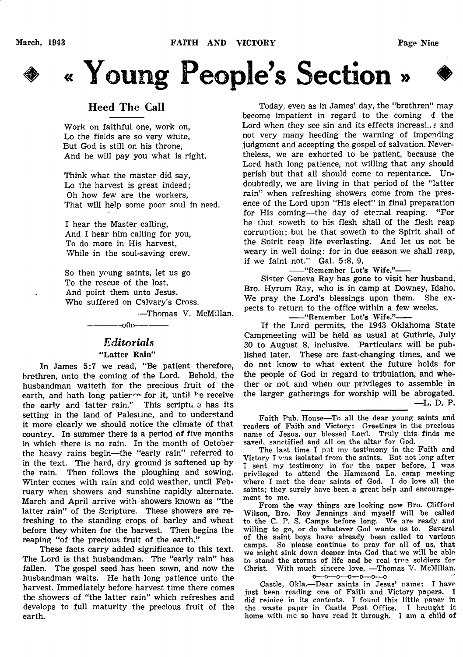



## Heed The Call

Work on faithful one, work on, Lo the fields are so very white, But God is still on his throne, And he will pay you what is right.

Think what the master did say, Lo the harvest is great indeed; Oh how few are the workers, That will help some poor soul in need.

I hear the Master calling, And I hear him calling for you, To do more in His harvest, While in the soul-saving crew.

So then young saints, let us go To the rescue of the lost, And point them unto Jesus. Who suffered on Calvary's Cross.

—Thomas V. McMillan.

# *Editorials*

---000--

## "Latter Rain"

In James 5:7 we read, "Be patient therefore, brethren, unto the coming of the Lord. Behold, the husbandman waiteth for the precious fruit of the earth, and hath long patier™ for it, until <sup>h</sup>e receive the early and latter rain." This scriptu. a has its setting in the land of Palestine, and to understand it more clearly we should notice the climate of that country. In summer there is a period of five months in which there is no rain. In the month of October the heavy rains begin—the "early rain" referred to in the text. The hard, dry ground is softened up by the rain. Then follows the ploughing and sowing. Winter comes with rain and cold weather, until February when showers and sunshine rapidly alternate. March and April arrive with showers known as "the latter rain" of the Scripture. These showers are refreshing to the standing crops of barley and wheat before they whiten for the harvest. Then begins the reaping "of the precious fruit of the earth."

These facts carry added significance to this text. The Lord is that husbandman. The "early rain" has fallen. The gospel seed has been sown, and now the husbandman waits. He hath long patience unto the harvest. Immediately before harvest time there comes the showers of "the latter rain" which refreshes and develops to full maturity the precious fruit of the earth.

Today, even as in James' day, the "brethren" may become impatient in regard to the coming 'f the Lord when they see sin and its effects increasi., *t* and not very many heeding the warning of impending judgment and accepting the gospel of salvation. Nevertheless, we are exhorted to be patient, because the Lord hath long patience, not willing that any should perish but that all should come to repentance. Undoubtedly, we are living in that period of the "latter rain" when refreshing showers come from the presence of the Lord upon "His elect" in final preparation for His coming—the day of eternal reaping. "For he that soweth to his flesh shall of the flesh reap corruption; but he that soweth to the Spirit shall of the Spirit reap life everlasting. And let us not be weary in well doing: for in due season we shall reap, if we faint not." Gal. 5:8, 9.

-"Remember Lot's Wife."-

Sister Geneva Ray has gone to visit her husband, Bro. Hyrum Ray, who is in camp at Downey, Idaho. We pray the Lord's blessings upon them. She expects to return to the office within a few weeks.

--"Remember Lot's Wife."-

If the Lord permits, the 1943 Oklahoma State Campmeeting will be held as usual at Guthrie, July 30 to August 8, inclusive. Particulars will be published later. These are fast-changing times, and we do not know to what extent the future holds for the people of God in regard to tribulation, and whether or not and when our privileges to assemble in the larger gatherings for worship will be abrogated. —L. D. P.

Faith Pub. House—To all the dear young saints and readers of Faith and Victory: Greetings in the precious name of Jesus, our blessed Lord. Truly this finds me saved, sanctified and all on the altar for God.

The last time I put my testimony in the Faith and Victory I was isolated from the saints. But not long after I sent my testimony in for the paper before, I was privileged to attend the Hammond La. camp meeting where I met the dear saints of God. I do love all the saints; they surely have been a great help and encouragement to me.

From the way things are looking now Bro. Clifford Wilson, Bro. Roy Jennings and myself will be called to the C. P. S. Camps before long. We are ready and willing to go, or do whatever God wants us to. Several of the saint boys have already been called to various camps. So please continue to pray for all of us, that we might sink down deeper into God that we will be able to stand the storms of life and be real tree soldiers for Christ. With much sincere love, —Thomas V. McMillan,

o—o—o—o—o—o—o Castle, Okla.—Dear saints in Jesus' name: I have just been reading one of Faith and Victory papers. I did rejoice in its contents. I found this little paper in the waste paper in Castle Post Office. I brought it home with me so have read it through. I am & child of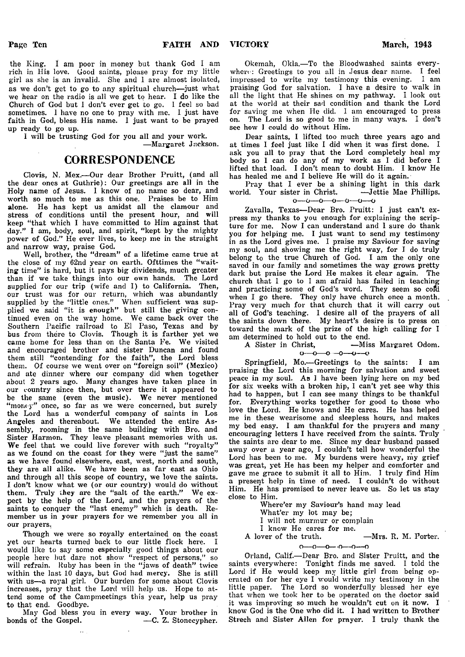the King. I am poor in money but thank God I am rich in His love. Good saints, please pray for my little girl as she is an invalid. She and 1 are almost isolated, as we don't get to go to any spiritual church—just what we hear on the radio is all we get to hear. I do like the Church of God but 1 don't ever get to go. I feel so bad sometimes. 1 have no one to pray with me. I just have faith in God, bless His name. I just want to be prayed up ready to go up.

I will be trusting God for you all and your work. —Margaret Jackson.

## **CORRESPONDENCE**

Clovis, N. Mex.— Our dear Brother Pruitt, (and all the dear ones at Guthrie): Our greetings are all in the Holy name of Jesus. I know of no name so dear, and worth so much to me as this one. Praises be to Him alone. He has kept us amidst all the clamour and stress of conditions until the present hour, and will keep " that which I have committed to Him against that day." I am, body, soul, and spirit, "kept by the mighty power of God." He ever lives, to keep me in the straight and narrow way, praise God.

Well, brother, the "dream" of a lifetime came true at the close of my 62nd year on earth. Ofttimes the " waiting time" is hard, but it pays big dividends, much greater than if we take things into our own hands. The Lord supplied for our trip (wife and I) to California. Then, our trust was for our return, which was abundantly supplied by the "little ones." When sufficient was supplied we said "it is enough" but still the giving continued even on the way home. We came back over the Southern Pacific railroad to El Paso, Texas and by bus from there to Clovis. Though it is farther yet we came home for less than on the Santa Fe. We visited and encouraged brother and sister Duncan and found them still "contending for the faith", the Lord bless them. Of course we went over on "foreign soil" (Mexico) and ate dinner where our company did when together about 2 years ago. Many changes have taken place in our country since then, but over there it appeared to be the same (even the music). We never mentioned "monty" once, so far as we were concerned, but surely the Lord has a wonderful company of saints in Los Angeles and thereabout. We attended the entire Assembly, rooming in the same building with Bro. and Sister Harmon. They leave pleasant memories with us. We feel that we could live forever with such "royalty" as we found on the coast for they were "just the same" as we have found elsewhere, east, west, north and south, they are all alike. We have been as far east as Ohio and through all this scope of country, we love the saints. I don't know what we (or our country) would do without them. Truly they are the "salt of the earth." We expect by the help of the Lord, and the prayers of the saints to conquer the "last enemy" which is death. Remember us in your prayers for we remember you all in our prayers.

Though we were so royally entertained on the coast yet our hearts turned back to our little flock here. I would like to say some especially good things about our people here but dare not show "respect of persons," so will refrain. Ruby has been in the "jaws of death" twice within the last 10 days, but God had mercy. She is still with us—a royal girl. Our burden for some about Clovis increases, pray that the Lord will help us. Hope to attend some of the Campmeetings this year, help us pray to that end. Goodbye.

May God bless you in every way. Your brother in bonds of the Gospel.

Okemah, Okla.—To the Bloodwashed saints everywhere: Greetings to you all in Jesus dear name. I feel impressed to write my testimony this evening. I am praising God for salvation. 1 have a desire to walk in all the light that He shines on my pathway. I look out at the world at their sad condition and thank the Lord for saving me when He did. I am encouraged to press on. The Lord is so good to me in many ways. I don't see how I could do without Him.

Dear saints, I lifted too much three years ago and at times I feel just like I did when it was first done. 1 ask you all to pray that the Lord completely heal my body so I can do any of my work as I did before I lifted that load. I don't mean to doubt Him. I know He has healed me and I believe He will do it again.

Pray that I ever be a shining light in this dark world. Your sister in Christ. —Jettie Mae Phillips.

Zavalla, Texas—Dear Bro. Pruitt: I just can't express my thanks to you enough for explaining the scripture for me. Now I can understand and I sure do thank you for helping me. I just want to send my testimony in as the Lord gives me. I praise my Saviour for saving my soul, and showing me the right way, for I do truly belong to the true Church of God. I am the only one saved in our family and sometimes the way grows pretty dark but praise the Lord He makes it clear again. The church that I go to I am afraid has failed in teaching and practicing some of God's word. They seem so cofd when I go there. They only have church once a month. Pray very much for that church that it will carry out all of God's teaching. I desire all of the prayers of all the saints down there. My heart's desire is to press on toward the mark of the prize of the high calling for I am determined to hold out to the end.<br>A Sister in Christ, -Mis

# a  $A$  Sistem  $A$ <sub>n</sub> Christ, —Miss Margaret Odom.

Springfield, Mo.—Greetings to the saints: I am praising the Lord this morning for salvation and sweet peace in my soul. As I have been lying here on my bed for six weeks with a broken hip, I can't yet see why this had to happen, but I can see many things to be thankful for. Everything works together for good to those who love the Lord. He knows and He cares. He has helped me in these wearisome and sleepless hours, and makes my bed easy. I am thankful for the prayers and many encouraging letters I have received from the saints. Truly the saints are dear to me. Since my dear husband passed away over a year ago, I couldn't tell how wonderful the Lord has been to me. My burdens were heavy, my grief was great, yet He has been my helper and comforter and gave me grace to submit it all to Him. I truly find Him a present help in time of need. I couldn't do without Him. He has promised to never leave us. So let us stay close to Him.

Where'er my Saviour's hand may lead What'er my lot may be; I will not murmur or complain I know He cares for me. A lover of the truth. —Mrs. R. M. Porter.  $0 - 0 - 0 - 0 - 0 - 0$ 

Orland, Calif.—Dear Bro. and Sister Pruitt, and the saints everywhere: Tonight finds me saved. I told the Lord if He would keep my little girl from being operated on for her eye I would write my testimony in the little paper. The Lord so wonderfully blessed her eye that when we took her to be operated on the doctor said it was improving so much he wouldn't cut on it now. I know God is the One who did it. I had written to Brother Strech and Sister Allen for prayer. I truly thank the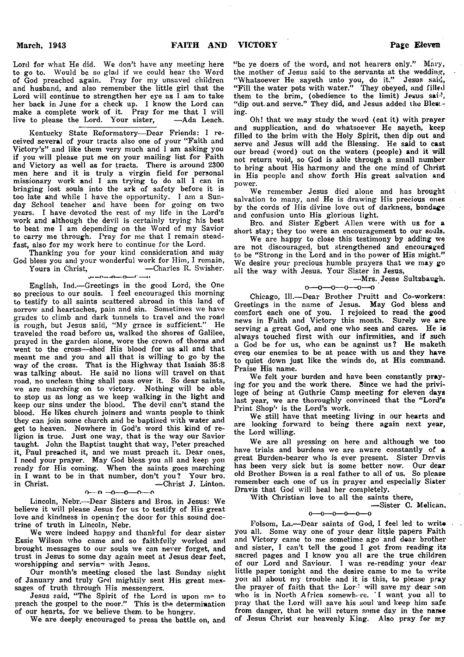Lord for what He did. We don't have any meeting here to go to. Would be so glad if we could hear the Word of God preached again. Pray for my unsaved children and husband, and also remember the little girl that the Lord will continue to strengthen her eye as I am to take her back in June for a check up. I know the Lord can make a complete work of it. Pray for me that I will<br>live to please the Lord. Your sister, -Ada Leach. live to please the Lord. Your sister,

Kentucky State Reformatory—Dear Friends: I received several of your tracts also one of your " Faith and Victory's" and like them very much and I am asking you if you will please put me on your mailing list for Faith and Victory as well as for tracts. There is around 2300 men here and it is truly a virgin field for personal missionary work and I am trying to do all I can in bringing lost souls into the ark of safety before it is too late and while I have the opportunity. I am a Sunday School teacher and have been for going on two years. I have devoted the rest of my life in the Lord's work and although the devil is certainly trying his best to beat me I am depending on the Word of my Savior to carry me through. Pray for me that I remain steadfast, also for my work here to continue for the Lord.

Thanking you for your kind consideration and may God bless you and your wonderful work for Him, I remain,<br>Yours in Christ, -Charles R. Swisher.  $\begin{array}{c}\n\text{-Charles R. Swisher.} \\
\text{-Charles R.} \n\end{array}$ 

English, Ind.— Greetings in the good Lord, the One so precious to our souls.  $\tilde{I}$  feel encouraged this morning to testify to all saints scattered abroad in this land of sorrow and heartaches, pain and sin. Sometimes we have grades to climb and dark tunnels to travel and the road is rough, but Jesus said, "My grace is sufficient." He traveled the road before us, walked the shores of Galilee, prayed in the garden alone, wore the crown of thorns and went to the cross—shed His blood for us all and that meant me and you and all that is willing to go by the way of the cross. That is the Highway that Isaiah 35:8 was talking about. He said no lions will travel on that road, no unclean thing shall pass over it. So dear saints, we are marching on to victory. Nothing will be able to stop us as long as we keep walking in the light and keep our sins under the blood. The devil can't stand the blood. He likes church joiners and wants people to think they can join some church and be baptized with water and get to heaven. Nowhere in God's word this kind of religion is true. Just one way, that is the way our Savior taught. John the Baptist taught that way, Peter preached it, Paul preached it, and we must preach it. Dear ones, I need your prayer. May God bless you all and keep you ready for His coming. When the saints goes marching in I want to be in that number, don't you? Your bro. in Christ. —Christ J. Linton,

#### o— n —o— o— o—-o

Lincoln, Nebr.—Dear Sisters and Bros, in Jesus: We believe it will please Jesus for us to testify of His great love and kindness in opening the door for this sound doctrine of truth in Lincoln, Nebr.

We were indeed happy and thankful for dear sister Essie Wilson who came and so faithfully worked and brought messages to our souls we can never forget, and trust in Jesus to some day again meet at Jesus dear feet, worshipping and servin $\tau$  with Jesus.

Our month's meeting closed the last Sunday night of January and truly God mightily sent His great messages of truth through His messengers.

Jesus said, " The Spirit of the Lord is upon me to preach the gospel to the poor." This is the determination of our hearts, for we believe them, to be hungry.

We are deeply encouraged to press the battle on, and

"be ye doers of the word, and not hearers only." Mary, the mother of Jesus said to the servants at the wedding, " Whatsoever He sayeth unto you, do it." Jesus said, " Fill the water pots with water." They obeyed, and filled them to the brim, (obedience to the limit) Jesus said, "dip out and serve." They did, and Jesus added the Bles:.-; ing.

Oh! that we may study the word (eat it) with prayer and supplication, and do whatsoever He sayeth, keep filled to the brim with the Holy Spirit, then dip out and serve and Jesus will add the Blessing. He said to cast our bread (word) out on the waters (people) and it will not return void, so God is able through a small number to bring about His harmony and the one mind of Christ in His people and show forth His great salvation and power.

We remember Jesus died alone and has brought salvation to many, and He is drawing His precious ones by the cords of His divine love out of darkness, bondage and confusion unto His glorious light.

Bro. and Sister Egbert Allen were with us for a short stay; they too were an encouragement to our souls.

We are happy to close this testimony by adding we are not discouraged, but strengthened and encouraged to be "Strong in the Lord and in the power of His might." We desire your precious humble prayers that we may go all the way with Jesus. Your Sister in Jesus,

—Mrs. Jesse Sultzbaugh.

## $0 - 0 - 0 - 0 - 0 - 0$

Chicago, 111.—Dear Brother Pruitt and Co-workers: Greetings in the name of Jesus. May God bless and comfort each one of you. I rejoiced to read the good news in Faith and Victory this month. Surely we are serving a great God, and one who sees and cares. He is always touched first with our infirmities, and if such a God be for us, who can be against us? He maketh even our enemies to be at peace with us and they have to quiet down just like the winds do, at His command. Praise His name.

We felt your burden and have been constantly praying for you and the work there. Since we had the privilege of being at Guthrie Camp meeting for eleven days last year, we are thoroughly convinced that the "Lord's Print Shop'' is the Lord's work.

We still have that meeting living in our hearts and are looking forward to being there again next year, the Lord willing.

We are all pressing on here and although we too have trials and burdens we are aware constantly of a great Burden-bearer who is ever present. Sister Dravis has been very sick but is some better now. Our dear old Brother B'owen is a real father to all of us. So please remember each one of us in prayer and especially Sister Dravis that God will heal her completely.

With Christian love to all the saints there,

— Sister C. Melican,  $0$ — $0$ — $0$ — $0$ — $0$ — $0$ — $0$ 

Folsom, La.--Dear saints of God, I feel led to write you all. Some way one of your dear little papers Faith and Victory came to me sometime ago and dear brother and sister, I can't tell the good I got from reading its sacred pages and I know you all are the true children of our Lord and Saviour. I was re-reading your dear little paper tonight and the desire came to me to write you all about my trouble and it is this, to please pray the prayer of faith that the Lor: will save my dear son who is in North Africa somewhere. I want you all to pray that the Lord will save his soul 'and keep him safe from danger, that he will return some day in the name of Jesus Christ our heavenly King. Also pray for my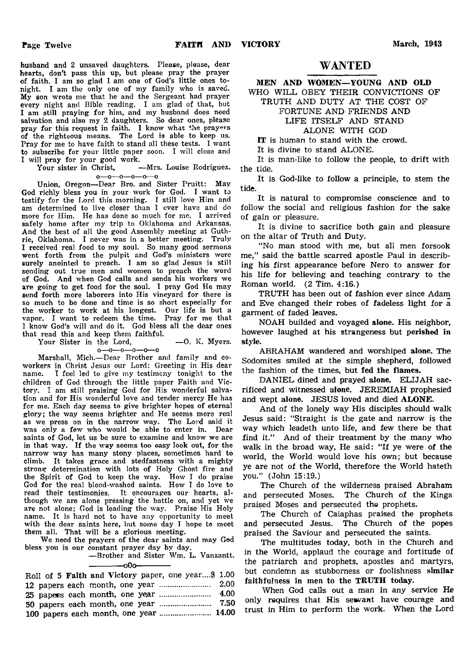husband and 2 unsaved daughters. Please, please, dear hearts, don't pass this up, but please pray the prayer of faith. I am so glad I am one of God's little ones tonight. I am the only one of my family who is saved. My son wrote me that he and the Sergeant had prayer every night and Bible reading. I am glad of that, but I am still praying for him, and my husband does need salvation and also my 2 daughters. So dear ones, please pray for this request in faith. I know what the prayers of the righteous means. The Lord is able to keep us. Pray for me to have faith to stand all these tests. I want to subscribe for your little paper soon. I will close and

I will pray for your good work.<br>Your sister in Christ, -Mrs. Louise Rodriguez. o—o—o—o—o—o

Union, Oregon—Dear Bro. and Sister Pruitt: May God richly bless you in your work for God. I want to testify for the Lord this morning. I still love Him and am determined to live closer than I ever have and do more for Him. He has done so much for mo. I arrived safely home after my trip to Oklahoma and Arkansas. And the best of all the good Assembly meeting at Guthrie, Oklahoma. I never was in a better meeting. Truly I received real food to my soul. So many good sermons went forth from the pulpit and God's ministers were surely anointed to preach. I am so glad Jesus is still sending out true men and women to preach the word of God. And when God calls and sends his workers we are going to get food for the soul. I pray God He may send forth more laborers into His vineyard for there is so much to be done and time is so short especially for the worker to work at his longest. Our life is but a vapor. I want to redeem the time. Pray for me that I know God's will and do it. God bless all the dear ones that read this and keep them faithful.

Your Sister in the Lord, -0. K. Myers. o—o—o—o—o—o

Marshall, Mich.—Dear Brother and family and coworkers in Christ Jesus our Lord: Greeting in His dear name. I feel led to give my testimony tonight to the children of God through the little paper Faith and Victory. I am still praising God for His wonderful salvation and for His wonderful love and tender mercy He has for me. Each day seems to give brighter hopes of eternal glory; the way seems brighter and He seems more real as we press on in the narrow way. The Lord said it was only a few who would be able to enter in. Dear saints of God, let us be sure to examine and know we are in that way. If the way seems too easy look out, for the narrow way has many stony places, sometimes hard to climb. It takes grace and stedfastness with a mighty strong determination with lots of Holy Ghost fire and the Spirit of God to keep the way. How I do praise God for the real blood-washed saints. How I do love to read their testimonies. It encourages our hearts, although we are alone pressing the battle on, and yet we are not alone; God is leading the way. Praise His Holy name. It is hard not to have any opportunity to meet with the dear saints here, but some day I hope to meet them all. That will be a glorious meeting.

We need the prayers of the dear saints and may God bless you is our constant prayer day by day.

—Brother and Sister Wm. L. Vanzantt. ------------- oOo-------------

| Roll of 5 Faith and Victory paper, one year\$ 1.00 |  |
|----------------------------------------------------|--|
|                                                    |  |
|                                                    |  |
|                                                    |  |
| 100 papers each month, one year  14.00             |  |

## WANTED

## MEN AND WOMEN— YOUNG AND OLD WHO WILL OBEY THEIR CONVICTIONS OF

TRUTH AND DUTY AT THE COST OF

## FORTUNE AND FRIENDS AND

## LIFE ITSELF AND STAND

## ALONE WITH GOD

IT is human to stand with the crowd.

It is divine to stand ALONE.

It is man-like to follow the people, to drift with the tide.

It is God-like to follow a principle, to stem the tide.

It is natural to compromise conscience and to follow the social and religious fashion for the sake of gain or pleasure.

It is divine to sacrifice both gain and pleasure on the altar of Truth and Duty.

"No man stood with me, but all men forsook me," said the battle scarred apostle Paul in describing his first appearance before Nero to answer for his life for believing and teaching contrary to the Roman world. (2 Tim. 4:16.)

TRUTH has been out of fashion ever since Adam and Eve changed their robes of fadeless light for a garment of faded leaves.

NOAH builded and voyaged alone. His neighbor, however laughed at his strangeness but perished in style.

ABRAHAM wandered and worshiped alone. The Sodomites smiled at the simple shepherd, followed the fashion of the times, but fed the flames.

DANIEL dined and prayed alone. ELIJAH sacrificed and witnessed alone. JEREMIAH prophesied and wept alone. JESUS loved and died ALONE.

And of the lonely way His disciples should walk Jesus said: "Straight is the gate and narrow is the way which leadeth unto life, and few there be that find it." And of their treatment by the many who walk in the broad way, He said: "If ye were of the world, the World would love his own; but because ye are not of the World, therefore the World hateth you." (John 15:19.)

The Church of the wilderness praised Abraham and persecuted Moses. The Church of the Kings praised Moses and persecuted the prophets.

The Church of Caiaphas praised the prophets and persecuted Jesus. The Church of the popes praised the Saviour and persecuted the saints.

The multitudes today, both in the Church and in the World, applaud the courage and fortitude of the patriarch and prophets, apostles and martyrs, but condemn as stubborness or foolishness similar faithfulness in men to the TRUTH today.

When God calls out a man in any service He only requires that His sewant have courage and trust in Him to perform the work. When the Lord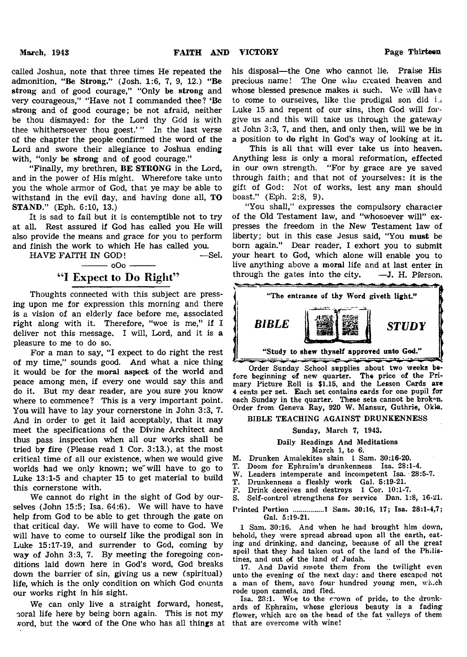called Joshua, note that three times He repeated the admonition, "Be Strong." (Josh. 1:6, 7, 9, 12.) "Be strong and of good courage," "Only be strong and very courageous," "Have not I commanded thee? 'Be strong and of good courage; be not afraid, neither be thou dismayed: for the Lord thy God is with thee whithersoever thou goest.' " In the last verse of the chapter the people confirmed the word of the Lord and swore their allegiance to Joshua ending with, "only be strong and of good courage."

"Finally, my brethren, BE STRONG in the Lord, and in the power of His might. Wherefore take unto you the whole armor of God, that ye may be able to withstand in the evil day, and having done all, TO STAND." (Eph. 6:10, 13.)

It is sad to fail but it is contemptible not to try at all. Rest assured if God has called you He will also provide the means and grace for you to perform and finish the work to which He has called you.

| HAVE FAITH IN GOD!              | —Sel |
|---------------------------------|------|
| $\frac{1}{1}$ 000 $\frac{1}{1}$ |      |
| "I Expect to Do Right"          |      |

Thoughts connected with this subject are pressing upon me for expression this morning and there is a vision of an elderly face before me, associated right along with it. Therefore, "woe is me," if I deliver not this message. I will, Lord, and it is a pleasure to me to do so.

For a man to say, "I expect to do right the rest of my time," sounds good. And what a nice thing it would be for the moral aspect of the world and peace among men, if every one would say this and do it. But my dear reader, are you sure you know where to commence? This is a very important point. You will have to lay your cornerstone in John 3:3, 7. And in order to get it laid acceptably, that it may meet the specifications of the Divine Architect and thus pass inspection when all our works shall be tried by fire (Please read 1 Cor. 3:13.), at the most critical time of all our existence, when we would give worlds had we only known; we"will have to go to Luke 13:1-5 and chapter 15 to get material to build this cornerstone with.

We cannot do right in the sight of God by ourselves (John 15:5; Isa. 64:6). We will have to have help from God to be able to get through the gate on that critical day. We will have to come to God. We will have to come to ourself like the prodigal son in Luke 15:17-19, and surrender to God, coming by way of John 3:3, 7. By meeting the foregoing conditions laid down here in God's word, God breaks down the barrier of sin, giving us a new (spiritual) life, which is the only condition on which God counts our works right in his sight.

We can only live a straight forward, honest, noral life here by being born again. This is not my vord, but the word of the One who has all things at that are overcome with wine!

his disposal— the One who cannot lie. Praise His precious name! The One who created heaven and whose blessed presence makes it such. We will have to come to ourselves, like the prodigal son did i. Luke 15 and repent of our sins, then God will forgive us and this will take us through the gateway at John 3:3, 7, and then, and only then, will we be in a position to do right in God's way of looking at it.

This is all that will ever take us into heaven. Anything less is only a moral reformation, effected in our own strength. "For by grace are ye saved through faith; and that not of yourselves: it is the gift of God: Not of works, lest any man should boast." (Eph. 2:8, 9).

"You shall," expresses the compulsory character of the Old Testament law, and "whosoever will" expresses the freedom in the New Testament law of liberty; but in this case Jesus said, "You must be born again." Dear reader, I exhort you to submit your heart to God, which alone will enable you to live anything above a moral life and at last enter in through the gates into the city.  $-\mathbf{J}$ . H. Pierson.



Order Sunday School supplies about two weeks before beginning of new quarter. The price of the Primary Picture Roll is \$1.15, and the Lesson Cards are 4 cents per set. Each set contains cards for one pupil for each Sunday in the quarter. These sets cannot be broken. Order from Geneva Ray, 920 W. Mansur, Guthrie, Okla.

## BIBLE TEACHING AGAINST DRUNKENNESS

#### Sunday, March 7, 1943.

Daily Readings And Meditations March 1, to 6.

- M. Drunken Amalekites slain 1 Sam. 30:16-20.
- T. Doom for Ephraim's drunkenness Isa. 28:1-4.
- W. Leaders intemperate and incompetent Isa. 28:5-7.
- T. Drunkenness a fleshly work Gal. 5:19-21.
- F. Drink deceives and destroys 1 Cor. 10:1-7.
- S. Self-control strengthens for service Dan. 1:8, 16-21.

Printed Portion .............. 1 Sam. 30:16, 17; Isa. 28:1-4,7; Gal. 5:19-21.

1 Sam. 30:16. And when he had brought him down, behold, they were spread abroad upon all the earth, eating and drinking, and dancing, because of all the great spoil that they had taken out of the land of the Philistines, and out of the land of Judah.

17. And David smote them from the twilight even unto the evening of the next day: and there escaped not a man of them, save four hundred young men, wh.ch rode upon camels, and fled.

Isa. 23:1. Woe to the crown of pride, to the drunkards of Ephraim, whose glorious beauty is a fading flower, which are on the head of the fat valleys of them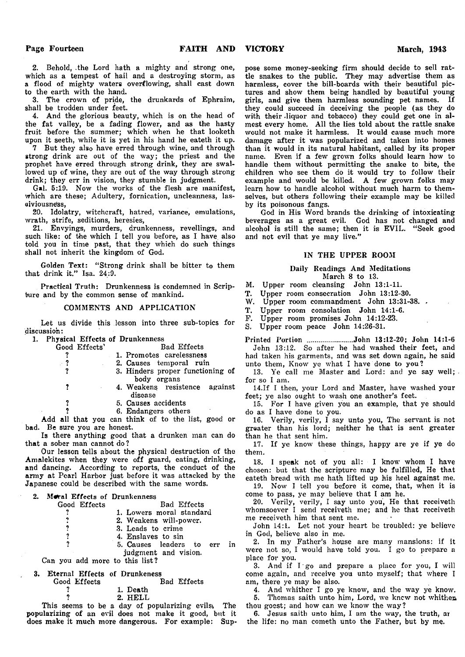2. Behold, .the Lord hath a mighty and strong one, which as a tempest of hail and a destroying storm, as a flood of mighty waters overflowing, shall cast down to the earth with the hand.

3. The crown of pride, the drunkards of Ephraim, shall be trodden under feet.

4. And the glorious beauty, which is on the head of the fat valley, be a fading flower, and as the hasty fruit before the summer; which when he that looketh upon it seeth, while it is yet in his hand he eateth it up.

7 But they also have erred through wine, and through strong drink are out of the way; the priest and the prophet have erred through strong drink, they are swallowed up of wine, they are out of the way through strong drink; they err in vision, they stumble in judgment.

Gal. 5:19. Now the works of the flesh are manifest, which are these; Adultery, fornication, uncleanness, lasoiviousness,

20. Idolatry, witchcraft, hatred, variance, emulations, wrath, strife, seditions, heresies,<br>21. Envyings, murders, drun

21. Envyings, murders, drunkenness, revellings, and such like: of the which I tell you before, as I have also told you in time past, that they which do such things shall not inherit the kingdom of God.

Golden Text: "Strong drink shall be bitter to them that drink it." Isa. 24:9.

Practical Truth: Drunkenness is condemned in Scripture and by the common sense of mankind.

#### COMMENTS AND APPLICATION

Let us divide this lesson into three sub-topics for discussion:

1. Physical Effects of Drunkenness

| Good Effects'                | <b>Bad Effects</b>                                 |
|------------------------------|----------------------------------------------------|
|                              | 1. Promotes carelessness                           |
| $\cdot$ ?                    | 2. Causes temporal ruin                            |
|                              | 3. Hinders proper functioning of<br>body organs    |
| ?                            | 4. Weakens resistence against<br>disease           |
| ?                            | 5. Causes accidents                                |
|                              | 6. Endangers others                                |
|                              | Add all that you can think of to the list, good or |
| bad. Be sure you are honest. |                                                    |

Is there anything good that a drunken man can do that a sober man cannot do ?

Our lesson tells about the physical destruction of the Amalekites when they were off guard, eating, drinking, and dancing. According to reports, the conduct of the army at Pearl Harbor just before it was attacked by the Japanese could be described with the same words.

| 2. Moral Effects of Drunkenness |              |  |  |                          |
|---------------------------------|--------------|--|--|--------------------------|
|                                 | Good Effects |  |  | Bad Effects              |
|                                 |              |  |  | 1. Lowers moral standard |
|                                 |              |  |  |                          |

- 2. Weakens will-power.
- ? 3. Leads to crime<br>
2. A Enslaves to sin
- ? 4. Enslaves to sin<br>
2. 5. Causes leaders
	- ? 5. Causes leaders to err in judgment and vision.

Can you add more to this list?

## 3. Eternal Effects of Drunkeness<br>Good Effects Bad Effects Good Effects<br>?

? 1. Death<br>
2. HELL

? 2. HELL

This seems to be a day of popularizing evils, The popularizing of an evil does not make it good, but it does make it much more dangerous. For example: Suppose some money-seeking firm should decide to sell rattle snakes to the public. They may advertise them as harmless, cover the bill-boards with their beautiful pictures and show them being handled by beautiful young girls, and give them harmless sounding pet names. If they could succeed in deceiving the people (as they do with their liquor and tobacco) they could get one in almost every home. All the lies told about the rattle snake would not make it harmless. It would cause much more damage after it was popularized and taken into homes than it would in its natural habitant, called by its proper name. Even if a few grown folks should learn how to handle them without permitting the snake to bite, the children who see them do it would try to follow their example and would be killed. A few grown folks may learn how to handle alcohol without much harm to themselves, but others following their example may be killed by its poisonous fangs.

God in His Word brands the drinking of intoxicating beverages as a great evil. God has not changed and alcohol is still the same; then it is EVIL. "Seek good and not evil that ye may live."

#### IN THE UPPER ROOM

## Daily Readings And Meditations

March 8 to 13.

- M. Upper room cleansing John 13:1-11.
- T. Upper room consecration John 13:12-30.
- W. Upper room commandment John 13:31-38. .<br>T. Upper room consolation John 14:1-6.
- Upper room consolation John 14:1-6.
- F. Upper room promises John 14:12-23.

Upper room peace John 14:26-31.

Printed Portion ......................John 13:12-20; John 14:1-6 John 13:12. So after he had washed their feet, and had taken his garments, and was set down again, he said

unto them, Know ye what I have done to you? 13. Ye call me Master and Lord: and ye say well;

for so I am.

14.1f I then, your Lord and Master, have washed your feet; ye also ought to wash one another's feet.

15. For I have given you an example, that ye should do as I have done to you.

16. Verily, verily, I say unto you, The servant is not greater than his lord; neither he that is sent greater than he that sent him.

17. If ye know these things, happy are ye if ye do them.

18. I speak not of you all: I know whom I have chosen: but that the scripture may be fulfilled, He that eateth bread with me hath lifted up his heel against me.

19. Now I tell you before it come, that, when it is come to pass, ye may believe that I am he.

20. Verily, verily, I say unto you, He that receiveth whomsoever I send receiveth me; and he that receiveth me receiveth him that sent me.

John 14:1. Let not your heart be troubled: ye believe in God, believe also in me.

2. In my Father's house are many mansions: if it were not so, I would have told you. I go to prepare a place for you.

3. And if  $I$  go and prepare a place for you, I will come again, and receive you unto myself; that where I am, there ye may be also.

4. And whither I go ye know, and the way ye know. 5. Thomas saith unto him, Lord, we knew not whithen thou goest; and how can we know the way?

6. Jesus saith unto him, I am the way, the truth, ar the life: no man cometh unto the Father, but by me.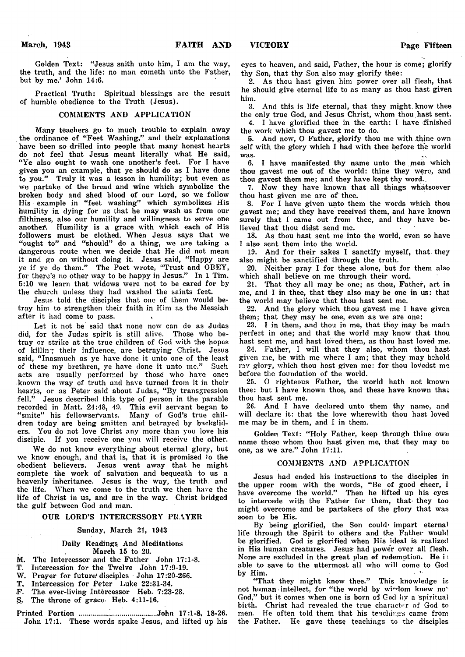Golden Text: "Jesus saith unto him, I am the way, the truth, and the life: no man cometh unto the Father, but by me.' John 14:6.

Practical Truth: Spiritual blessings are the result of humble obedience to the Truth (Jesus).

#### COMMENTS AND APPLICATION

Many teachers go to much trouble to explain away the ordinance of "Feet Washing," and their explanations have been so drilled into people that many honest hearts do not feel that Jesus meant literally what He said, "Ye also ought to wash one another's feet. For I have given you an example, that ye should do as I have done to you." Truly it was a lesson in humility; but even as we partake of the bread and wine which symbolize the broken body and shed blood of our Lord, so we follow His example in "feet washing" which symbolizes His humility in dying for us that he may wash us from our filthiness, also our humility and willingness to serve one another. Humility is a grace with which each of His followers must be clothed. When Jesus says that we " ought to" and " should" do a thing, we are taking a dangerous route when we decide that He did not mean it and go on without doing it. Jesus said, " Happy are ye if ye do them." The Poet wrote, "Trust and OBEY, for there's no other way to be happy in Jesus." In 1 Tim. 5:10 we learn that widows were not to be cared for by the church unless they had washed the saints feet.

Jesus told the disciples that one of them would betray him to. strengthen their faith in Him as the Messiah after it had come to pass.

Let it not be said that none now can do as Judas did, for the Judas spirit is still alive. Those who betray or strike at the true children of God with the hopes of killing their influence, are betraying Christ. Jesus said, "Inasmuch as ye have done it unto one of the least of these my brethren, ye have done it unto me." Such acts are usually performed by those' who have once known the way of truth and have turned from it in their hearts, or as Peter said about Judas, "By transgression fell." Jesus described this type of person in the parable recorded in Matt. 24:48, 49. This evil servant began to " smite" his fellowsehvants. Many of God's true children today are being smitten and betrayed by backsliders. You do not love Christ any more than you love his disciple. If you receive one you will receive the other.

We do not know everything about eternal glory, but we know enough, and that is, that it is promised to the obedient believers. Jesus went away that he might complete the work of salvation and bequeath to us a heavenly inheritance. Jesus is the way, the truth, and the life. When we come to the truth we then have the life of Christ in us, and are in the way. Christ bridged the gulf between God and man.

#### OUR LORD'S INTERCESSORY PRAYER

#### Sunday, March 21, 1943

#### Daily Readings And Meditations March 15 to 20.

- M. The Intercessor and the Father John 17:1-8.
- T. Intercession for the Twelve John 17:9-19.
- W. Prayer for future disciples John 17:20-266.
- T. Intercession for Peter Luke 22:31-34.
- .F. The ever-living Intercessor Heb. 7:23-28.
- S,. The throne of grace- Heb. 4:11-16.
- Printed Portion ..................................... John 17:1-8, 18-26. John 17:1. These words spake Jesus, and lifted up his

eyes to heaven, and said, Father, the hour is come; glorify thy Son, that thy Son also may glorify thee:

2. As thou hast given him power over all flesh, that he should give eternal life to as many as thou hast given him.

3. And this is life eternal, that they might, know thee the only true God, and Jesus Christ, whom thou.hast sent.

4. I have glorified thee in the earth: I have finished the work which thou gavest me to do.

5. And now, O Father, glorify thou me with thine own self with the glory which I had with thee before the world was.

6. I have manifested thy name unto the men which thou gavest me out of the world: thine they were, and thou gavest them me; and they have kept thy word..

7. Now they have known that all things whatsoever thou hast given me are of thee.

8. For I have given unto them the words which thou gavest me; and they have received them, and have known surely that I came out from thee, and they have believed that thou didst send me.

18. As thou hast sent me into the world, even so have I also sent them into the world.

19. And for their sakes I sanctify myself, that they also might be sanctified through the truth.

20. Neither pray I for these alone, but for them also which shall believe on me through their word.

21. That they all may be one; as thou, Father, art in me, and I in thee, that they also may be one in us: that the world may believe that thou hast sent me.

22. And the glory which thou gavest me I have given them; that they may be one, even as we are one:

23. I in them, and thou in me, that they may be made perfect in one; and that the world may know that thou hast sent me, and hast loved them, as thou hast loved me.

24. Father, I will that they also, whom thou hast given me, be with me where I am; that they may behold my glory, which thou hast given me: for thou lovedst me before the foundation of the world.

25. O righteous Father, the world hath not known thee: but I have known thee, and these have known thai; thou hast sent me.

26. And I have declared unto them thy name, and will declare it: that the love wherewith thou hast loved me may be in them, and I in them.

Golden Text: " Holy Father, keep through thine own name those whom thou hast given me, that they may do one, as we are." John 17:11.

#### COMMENTS AND APPLICATION

Jesus had ended his instructions to the disciples in the upper room with the words, " Be of good cheer, I have overcome the world." Then he lifted up his eyes to intercede with the Father for them, that- they too might overcome and be partakers of the glory that was soon to be His.

By being glorified, the Son could- impart eternal life through the Spirit to others and the Father would be glorified. God is glorified when His ideal is realized in His human creatures. Jesus- had power over all flesh. None are excluded in the great plan of redemption. He i able to save to the uttermost all who will come to God by Him.

"That they might know thee." This knowledge is not human intellect, for "the world by wirdom knew no" God," but it comes when one is born of God by a spiritual birth. Christ had revealed the true character of God to men. He often told them that his teachings came from the Father, He gave these teachings to the disciples